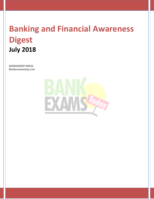# **Banking and Financial Awareness Digest July 2018**

RAMANDEEP SINGH Bankexamstoday.com

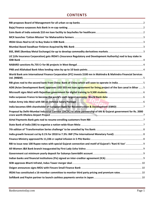## **CONTENTS**

| LIC (Life Insurance Corporation) gets IRDAI's (Insurance Regulatory and Development Authority) nod to buy stake in |  |
|--------------------------------------------------------------------------------------------------------------------|--|
|                                                                                                                    |  |
|                                                                                                                    |  |
| World Bank arm International Finance Corporation (IFC) invests \$100 mn in Mahindra & Mahindra Financial Services  |  |
|                                                                                                                    |  |
| ADB (Asian Development Bank) approves USD 503 mn loan agreement for lining project of the Son canal in Bihar  5    |  |
|                                                                                                                    |  |
|                                                                                                                    |  |
|                                                                                                                    |  |
|                                                                                                                    |  |
| Proposal by Delhi-Mumbai Industrial Corridor (DICDL) to allow partnership of AAI & Gujarat government for Rs. 2000 |  |
|                                                                                                                    |  |
|                                                                                                                    |  |
|                                                                                                                    |  |
|                                                                                                                    |  |
|                                                                                                                    |  |
|                                                                                                                    |  |
|                                                                                                                    |  |
|                                                                                                                    |  |
|                                                                                                                    |  |
|                                                                                                                    |  |
|                                                                                                                    |  |
| IRDAI has constituted a 16-member committee to monitor third party pricing and premium rates 10                    |  |
|                                                                                                                    |  |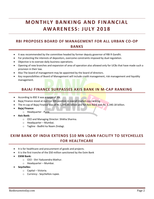## **MONTHLY BANKING AND FINANCIAL A W A R EN ES S : J ULY 2 0 1 8**

## <span id="page-2-0"></span>**RBI PROPOSES BOARD OF MANAGEMENT FOR ALL URBAN CO-OP BANKS**

- It was recommended by the committee headed by former deputy governor of RBI R Gandhi.
- For protecting the interests of depositors, overcome constraints imposed by dual regulation.
- Objective is to oversee daily business operations.
- Opening of new branches and expansion of area of operation also allowed only for UCBs that have made such a provision in their law.
- Also The board of management may be appointed by the board of directors.
- <span id="page-2-1"></span> Key responsibilities of Board of Management will include credit management, risk management and liquidity management.

#### **BAJAJ FINANCE SURPASSES AXIS BANK IN M-CAP RANKING**

- According to BSE It was a surge of 3%.
- Bajaj Finance stood at number 6th position in overall market-cap ranking.
- The m-cap of Bajaj Finance was of Rs 1,345.85 billion and for Axis Bank was Rs. 1,340.18 billion.
- **Bajaj Finance:**
	- o Headquarter Pune.
- **Axis Bank:**
	- o CEO and Managing Director: Shikha Sharma.
	- o Headquarter Mumbai.
	- o Tagline Badhti ka Naam Zindagi.

## <span id="page-2-2"></span>**EXIM BANK OF INDIA EXTENDS \$10 MN LOAN FACILITY TO SEYCHELLES FOR HEALTHCARE**

- It is for healthcare and procurement of goods and projects.
- It is the first tranche of the \$50 million sanctioned by the Exim Bank
- **EXIM Bank:**
	- o CEO Shri Yaduvendra Mathur.
	- o Headquarter Mumbai.
- **Seychelles:**
	- o Capital Victoria.
	- o Currency Seychellois rupee.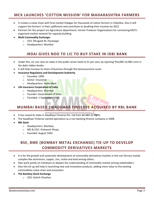#### <span id="page-3-0"></span>**MCX LAUNCHES 'COTTON MISSION' FOR MAHARASHTRA FARMERS**

- It creates a value chain with final market linkages for thousands of cotton farmers in Vidarbha. Also it will support the farmers' in their upliftment and contribute to doubling their incomes by 2022.
- Partners for this project are Agriculture department, Farmer Producer Organisations for connecting MCX's organised market network for capacity building.
- **Multi Commodity Exchange:**
	- o CEO: Mrugank M. Paranjape
	- o Headquarters: Mumbai

#### **IRDAI GIVES NOD TO LIC TO BUY STAKE IN IDBI BANK**

- <span id="page-3-1"></span> Under this, LIC can raise its stake in the public sector bank to 51 per cent, by injecting ₹10,000-13,000 crore in the debt-ridden lender.
- It will help increase its share of business through the bancassurance route.
- **Insurance Regulatory and Development Authority**
	- o Founded: 1999
	- o Sector: Insurance
	- o Headquarters: Hyderabad
- **Life Insurance Corporation of India**
	- o Headquarters: Mumbai
	- o Founder: Government of India
	- o Founded: 1 September 1956.

## <span id="page-3-2"></span>**MUMBAI BASED SWADHAAR FINSERVE ACQUIRED BY RBL BANK**

- It has raised its stake in Swadhaar Finserve Pvt. Ltd from 60.48% to 100%.
- The Swadhaar FinServe started operations as a non-banking finance company in 2008.
- **RBL Bank**
	- o Headquarters: Mumbai,
	- o MD & CEO: Vishwavir Ahuja,
	- o Founded: August 1943.

## <span id="page-3-3"></span>**BSE, BME (BOMBAY METAL EXCHANGE) TIE-UP TO DEVELOP COMMODITY DERIVATIVES MARKETS**

- It is for the growth and systematic development of commodity derivatives markets in the non-ferrous metals complex like aluminium, copper, zinc, nickel and lead among others.
- Also work jointly on initiatives to deepen the understanding of commodity market among stakeholders.
- Also this tie up will help in launching new and innovative products, adding more value to the existing commodities value chain and ecosystem.
- **The Bombay Stock Exchange**
	- o CEO: Ashish Chauhan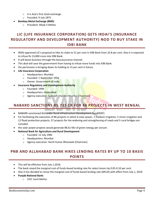- o It is Asia's first stock exchange.
- o Founded: 9 July 1875.
- **Bombay Metal Exchange (BME)**
	- o President: Rikab V.Mehta

## <span id="page-4-0"></span>**LIC (LIFE INSURANCE CORPORATION) GETS IRDAI'S (INSURANCE REGULATORY AND DEVELOPMENT AUTHORITY) NOD TO BUY STAKE IN IDBI BANK**

- IRDAI approved LIC's proposal to hike its stake to 51 per cent in IDBI Bank from 10.8 per cent. Also it is expected to infuse Rs 13,000 crore into IDBI Bank.
- It will boost business through the bancassurance channel.
- This deal will save the government from having to infuse more funds into IDBI Bank.
- the permission is bringing down its holding to 15 per cent in future.
- **Life Insurance Corporation**
	- o Headquarters: Mumbai
	- o Founded: 1 September 1956
	- o Owner: Government of India
- **Insurance Regulatory and Development Authority**
	- o Founded: 1999
	- o Headquarters: Hyderabad
	- o Agency executive: Subhash Chandra Khuntia (Chairman)

## <span id="page-4-1"></span>**NABARD SANCTIONS RS.735 CR FOR 86 PROJECTS IN WEST BENGAL**

- NABARD sanctioned this under Rural Infrastructure Development Fund(RIDF)
- For facilitating the execution of 86 projects in which 6 solar power, 1 medium irrigation, 5 minor irrigation and 12 flood protection projects, 57 projects for the widening and strengthening of roads and 5 rural bridges are included.
- the solar power projects would generate 88.61 MU of green energy per annum.
- **National Bank for Agriculture and Rural Development**
	- o Founded: 12 July 1982
	- o Headquarters: Mumbai
	- o Agency executive: Harsh Kumar Bhanwala (Chairman)

## <span id="page-4-2"></span>**PNB AND ALLAHABAD BANK HIKES LENDING RATES BY UP TO 10 BASIS POINTS**

- This will be effective from July 1,2018.
- The bank raised the marginal cost of funds-based lending rate for select tenors by 0.05-0.10 per cent.
- Also it has decided to revise the marginal cost of funds based lending rate (MCLR) with effect from July 1, 2018
- **Punjab National Bank:**
	- o CEO: Sunil Mehta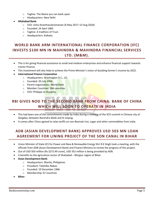- o Tagline: The Name you can bank upon
- o Headquarters: New Delhi

#### **Allahabad Bank:**

- o CEO: Usha Ananthasubramanian (6 May 2017–13 Aug 2018)
- o Founded: 24 April 1865
- o Tagline: A tradition of Trust.
- o Headquarters: Kolkata.

## <span id="page-5-0"></span>**WORLD BANK ARM INTERNATIONAL FINANCE CORPORATION (IFC) INVESTS \$100 MN IN MAHINDRA & MAHINDRA FINANCIAL SERVICES LTD. (M&M).**

- This is for giving financial assistance to small and medium enterprises and enhance financial support towards tractor finance.
- This investment will also help to achieve the Prime Minister's vision of doubling farmer's income by 2022.
- **International Finance Corporation**
	- o Headquarters: Washington D.C., US.
	- o Founded: 20 Jul<mark>y 1956.</mark>
	- o Parent organization: World Bank
	- o Member Countries: 184 countries
	- o CEO: Philippe Le Houerou.

## <span id="page-5-1"></span>**RBI GIVES NOD TO THE SECOND BANK FROM CHINA: BANK OF CHINA WHICH WILL SOON TO OPERATE IN INDIA**

- This had been one of the commitments made by India during a meeting of the SCO summit in Chinese city of Qingdao, between Narendra Modi and Xi Jinping.
- It comes after China agreed to relax tariffs on non-Basmati rice, sugar and other commodities from India.

## <span id="page-5-2"></span>**ADB (ASIAN DEVELOPMENT BANK) APPROVES USD 503 MN LOAN AGREEMENT FOR LINING PROJECT OF THE SON CANAL IN BIHAR**

- Union Minister of State (IC) for Power and New & Renewable Energy Shri R.K Singh took a meeting, with the officials from ADB (Asian Development Bank) and Finance Ministry to review the progress of this project.
- Out of USD 503 million (Rs 3272.49 crore), USD 352 million is being provided by ADB.
- it benefits to the agriculture sector of Shahabad Bhojpur region of Bihar.
- **Asian Development Bank:**
	- o Headquarters: Manila, Philippines
	- o President: Takehiko Nakao
	- o Founded: 19 December 1966
	- o Membership: 67 countries
- **Bihar:**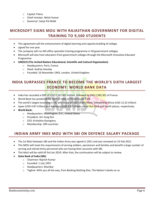- o Capital: Patna
- o Chief minister: Nitish Kumar
- o Governor: Satya Pal Malik

### <span id="page-6-0"></span>**MICROSOFT SIGNS MOU WITH RAJASTHAN GOVERNMENT FOR DIGITAL TRAINING TO 9,500 STUDENTS**

- This agreement will the enhancement of digital learning and capacity building of college.
- signed for one year.
- The company will run MS office specialist training programme in 50 government colleges.
- Microsoft will also train educators from government colleges through the Microsoft Innovative Educator Programme.
- **UNESCO (The United Nations Educational, Scientific and Cultural Organization)**
	- o Headquarters: Paris, France
	- o Head: Audrey Azoulay
	- o Founded: 16 November 1945, London, United Kingdom.

## <span id="page-6-1"></span>**INDIA SURPASSES FRANCE TO BECOME THE WORLD'S SIXTH LARGEST ECONOMY: WORLD BANK DATA**

- India has recorded a GDP of USD 2,597,491 million, followed by USD 2,582,501 of France.
- World Bank has predicted the GDP of India in FY2019 to be 7.3%.
- The world's largest economy is US, with a size of USD 19.39 trillion, followed by China (USD 12.23 trillion)
- Japan (USD 4.87 trillion) and Germany (USD 3.67 trillion) are at the third and fourth places, respectively.
- **World Bank:**
	- o Headquarters: Washington, D.C., United States
	- o President: Jim Yong Kim
	- o CEO: Kristalina Georgieva
	- o Membership: 189 countries

#### <span id="page-6-2"></span>**INDIAN ARMY INKS MOU WITH SBI ON DEFENCE SALARY PACKAGE**

- The 1st MoU between SBI and the Indian Army was signed in 2011 and was renewed on 23 Feb 2015.
- This MOU will meet the requirements of serving soldiers, pensioners and families and benefit a large number of serving and retired Army personnel who are having their accounts with SBI.
- This MoU will be valid till 3rd Jan 2019. After that, the continuation will be subject to review.
- **State Bank of India (SBI):**
	- o Chairman: Rajnish Kumar
	- o Founded: 1 July 1955
	- o Headquarters: Mumbai
	- $\circ$  Tagline: With you all the way, Pure Banking Nothing Else, The Nation's banks on us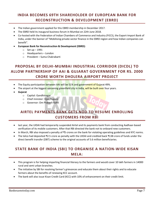## <span id="page-7-0"></span>**INDIA BECOMES 69TH SHAREHOLDER OF EUROPEAN BANK FOR RECONSTRUCTION & DEVELOPMENT (EBRD)**

- The Indian government applied for this EBRD membership in December 2017.
- The EBRD held its inaugural business forum in Mumbai on 22th June 2018.
- Co-hosted with the Federation of Indian Chambers of Commerce and Industry (FICCI), the Export-Import Bank of India, under the banner of "Mobilising private sector finance in the EBRD region and how Indian companies can benefit".
- **European Bank for Reconstruction & Development (EBRD):**
	- o Set up 1991
	- o Headquarters London
	- o President Suma Chakrabarti

## <span id="page-7-1"></span>**PROPOSAL BY DELHI-MUMBAI INDUSTRIAL CORRIDOR (DICDL) TO ALLOW PARTNERSHIP OF AAI & GUJARAT GOVERNMENT FOR RS. 2000 CRORE WORTH DHOLERA AIRPORT PROJECT**

- The Equity participation between AAI will be 51% and government of Gujarat 49%.
- The airport at the biggest upcoming greenfield city in India, will be built over four years.
- **Gujarat**
	- o Capital: Gandhinagar
	- o Chief minister: Vijay Rupani
	- o Governor: Om Prakash Kohli

## <span id="page-7-2"></span>**AIRTEL PAYMENTS BANK GETS NOD TO RESUME ENROLLING CUSTOMERS FROM RBI**

- last year, the UIDAI had temporarily suspended Airtel and its payments bank from conducting Aadhaar-based verification of its mobile customers. After that RBI directed the bank not to onboard new customers.
- In March, RBI also imposed a penalty of ₹5 crores on the bank for violating operating guidelines and KYC norms.
- The telco had deposited ₹2.5 crore as penalty with the UIDAI and credited back ₹138 crore of funds under the direct benefit transfer (DBT) scheme to the original accounts of 5.6 million beneficiaries.

## <span id="page-7-3"></span>**STATE BANK OF INDIA (SBI) TO ORGANISE A NATION-WIDE KISAN MELA:**

- This program is for helping imparting financial literacy to the farmers and would cover 10 lakh farmers in 14000 rural and semi urban branches.
- The initiative by SBI for resolving farmer's grievances and educate them about their rights and to educate farmers about the benefits of renewing KCC account.
- The bank will also issue Kisan Credit Card (KCC) with 10% of enhancement on their credit limit.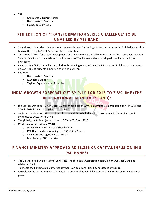- **SBI:**
	- o Chairperson: Rajnish Kumar
	- o Headquarters: Mumbai
	- o Founded: 1 July 1955

## <span id="page-8-0"></span>**7TH EDITION OF 'TRANSFORMATION SERIES CHALLENGE' TO BE UNVEILED BY YES BANK:**

- To address India's urban development concerns through Technology, It has partnered with 12 global leaders like Microsoft, Cisco, IBM and Adobe for the collaboration.
- The theme is 'Tech for Urban Development' and its main focus on Collaborative Innovation Collaboration as a Service (CaaS) which is an extension of the bank's ART (alliances and relationships driven by technology) philosophy.
- A cash prize of ₹5 lakhs will be awarded to the winning team, followed by ₹3 lakhs and ₹2 lakhs to the runnersup, over 30,000 students submitted solutions last year.
- **Yes Bank**
	- o Headquarters: Mumbai
	- o **CEO: Rana Kapoor**
	- o Tagline: Experience our Expertise

## <span id="page-8-1"></span>**INDIA GROWTH FORECAST CUT BY 0.1% FOR 2018 TO 7.3%: IMF (THE INTERNATIONAL MONETARY FUND):**

- the GDP growth to be 7.3% in 2018-19, earlier estimate of 7.4%, slightly less 0.1 percentage point in 2018 and 7.5% in 2019 for India as against 6.7% in 2017.
- cut is due to higher oil prices on domestic demand, Despite India's slight downgrade in the projections, it continues to outperform China.
- The global growth is projected to reach 3.9% in 2018 and 2019.
- **World Economic Outlook (WEO)**
	- o survey conducted and published by IMF.
	- o IMF Headquarters: Washington, D.C, United States
	- o CEO: Christine Lagarde (5 Jul 2011–)
	- o Membership: 189 countries

## <span id="page-8-2"></span>**FINANCE MINISTRY APPROVED RS 11,336 CR CAPITAL INFUSION IN 5 PSU BANKS:**

- The 5 banks are: Punjab National Bank (PNB), Andhra Bank, Corporation Bank, Indian Overseas Bank and Allahabad Bank.
- To enable the banks to make interest payments on additional Tier 1 bonds issued by banks.
- It would be the part of remaining Rs 65,000 crore out of Rs 2.11 lakh crore capital infusion over two financial years.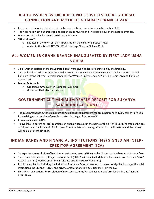## <span id="page-9-0"></span>**RBI TO ISSUE NEW 100 RUPEE NOTES WITH SPECIAL GUJARAT CONNECTION AND MOTIF OF GUJARAT'S 'RANI KI VAV'**

- It is a part of the revised design series introduced after demonetization in November 2016.
- The note has Swachh Bharat logo and slogan on its reverse and The base colour of the note is lavender.
- Dimension of the banknote will be 66 mm x 142 mm.
- **"RANI KI VAV":**
	- o Situated in the town of Patan in Gujarat, on the banks of Saraswati River
	- o Added to the list of UNESCO's World Heritage Sites on 22 June 2014.

## <span id="page-9-1"></span>**ALL-WOMEN J&K BANK BRANCH INAUGURATED BY FIRST LADY USHA VOHRA**

- 13 all women staffers of the inaugurated bank were given badges of distinction by the first lady.
- The bank will provide special service exclusively for women clients of the bank which include: Pink Gold and Platinum Saving Scheme, Special Loan facility for Women Entrepreneurs, Pink Gold Debit Card and Platinum Credit Card.
- **Jammu & Kashmir:**
	- o Capitals: Jammu (Winter), Srinagar (Summer)
	- o Governor: Narinder Nath Vohra.

## <span id="page-9-2"></span>**GOVERNMENT CUT MINIMUM YEARLY DEPOSIT FOR SUKANYA SAMRIDDHI ACCOUNT**

- The government has cut the minimum annual deposit requirement for accounts from Rs 1,000 earlier to Rs 250 for enabling more number of people to take advantage of this scheme.
- It was launched in 2015.
- To avail this, a parent or legal guardian can open an account in the name of the girl child until she attains the age of 10 years and it will be valid for 21 years from the date of opening, after which it will mature and the money will be paid to that girl child.

## <span id="page-9-3"></span>**INDIAN BANKS AND FINANCIAL INSTITUTIONS (FIS) SIGNED AN INTER-CREDITOR AGREEMENT (ICA)**

- To expedite the resolution of banks' non-performing assets (NPAs), or bad loans, and enable smooth credit flow.
- The committee headed by Punjab National Bank (PNB) Chairman Sunil Mehta under the control of Indian Banks' Association (IBA) worked under the Insolvency and Bankruptcy Code (IBC).
- Public sector banks, including the India Post Payments Bank, private sector banks, foreign banks, major financial institutions like LIC and HUDCO and private organisations like ICICI Bank will join the ICA.
- For taking joint actions for resolution of stressed accounts, ICA will act as a platform for banks and financial institutions.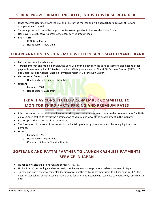#### <span id="page-10-0"></span>**SEBI APPROVES BHARTI INFRATEL, INDUS TOWER MERGER DEAL**

- It has received clearance from the BSE and NSE for the merger and will approach for approval of National Company Law Tribunal.
- This marger would create the largest mobile tower operator in the world outside China.
- Have over 163,000 towers across 22 telecom service areas in India.
- **Bharti Airtel**
	- o CEO: Gopal Vittal
	- o Headquarters: New Delhi

#### <span id="page-10-1"></span>**OXIGEN ANNOUNCES SIGNS MOU WITH FINCARE SMALL FINANCE BANK**

- For starting branchless banking
- Through internet and mobile banking, the Bank will offer bill pay services to its customers, also expand other payments services such as POS network, micro-ATMs, pre-paid cards, Bharat Bill Payment System (BBPS), UPI and Bharat QR and Aadhaar Enabled Payment System (AEPS) through Oxigen.
- **Fincare small finance bank:**
	- o Headquarters: Bengaluru, Karnataka.
- <span id="page-10-2"></span> **Oxigen:**
	- o Founded: 2004.
	- o Headquarters: Gurugram.

## **IRDAI HAS CONSTITUTED A 16-MEMBER COMMITTEE TO MONITOR THIRD PARTY PRICING AND PREMIUM RATES**

- It is to examine motor third party insurance pricing and make recommendations on the premium rates for 2019- 20, Also been tasked to revisit the classification of vehicles, in view of the development in the industry.
- P.J. Joseph is the chairman of the committee.
- The formation of the committee comes in the backdrop of a cargo transporters strike to highlight various demands.
- **IRDAI:**
	- o Founded: 1999
	- o Headquarters: Hyderabad.
	- o Chairman: Subhash Chandra Khuntia.

## <span id="page-10-3"></span>**SOFTBANK AND PAYTM PARTNER TO LAUNCH CASHLESS PAYMENTS SERVICE IN JAPAN**

- launched by SoftBank's joint venture company PayPay.
- Utilise Paytm's technology and expertise in mobile payments also promote cashless payment in Japan.
- To help and boost the government's decision of raising the cashless payment ratio to 40 per cent by 2025 this decision was taken, because Cash is mainly used for payment in Japan with cashless payments only remaining at 20%.